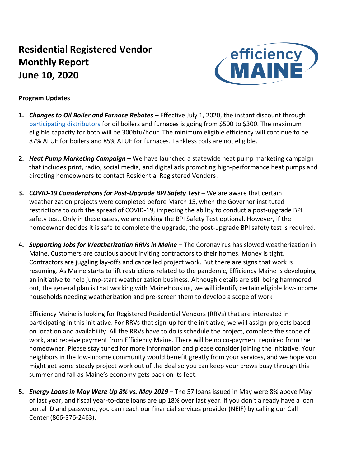# **Residential Registered Vendor Monthly Report June 10, 2020**



### **Program Updates**

- **1.** *Changes to Oil Boiler and Furnace Rebates* **–** Effective July 1, 2020, the instant discount through [participating distributors](https://www.efficiencymaine.com/docs/EM-Boiler-and-Furnace-Participating-Distributors.pdf) for oil boilers and furnaces is going from \$500 to \$300. The maximum eligible capacity for both will be 300btu/hour. The minimum eligible efficiency will continue to be 87% AFUE for boilers and 85% AFUE for furnaces. Tankless coils are not eligible.
- **2.** *Heat Pump Marketing Campaign* **–** We have launched a statewide heat pump marketing campaign that includes print, radio, social media, and digital ads promoting high-performance heat pumps and directing homeowners to contact Residential Registered Vendors.
- **3.** *COVID-19 Considerations for Post-Upgrade BPI Safety Test* **–** We are aware that certain weatherization projects were completed before March 15, when the Governor instituted restrictions to curb the spread of COVID-19, impeding the ability to conduct a post-upgrade BPI safety test. Only in these cases, we are making the BPI Safety Test optional. However, if the homeowner decides it is safe to complete the upgrade, the post-upgrade BPI safety test is required.
- **4.** *Supporting Jobs for Weatherization RRVs in Maine* **–** The Coronavirus has slowed weatherization in Maine. Customers are cautious about inviting contractors to their homes. Money is tight. Contractors are juggling lay-offs and cancelled project work. But there are signs that work is resuming. As Maine starts to lift restrictions related to the pandemic, Efficiency Maine is developing an initiative to help jump-start weatherization business. Although details are still being hammered out, the general plan is that working with MaineHousing, we will identify certain eligible low-income households needing weatherization and pre-screen them to develop a scope of work

Efficiency Maine is looking for Registered Residential Vendors (RRVs) that are interested in participating in this initiative. For RRVs that sign-up for the initiative, we will assign projects based on location and availability. All the RRVs have to do is schedule the project, complete the scope of work, and receive payment from Efficiency Maine. There will be no co-payment required from the homeowner. Please stay tuned for more information and please consider joining the initiative. Your neighbors in the low-income community would benefit greatly from your services, and we hope you might get some steady project work out of the deal so you can keep your crews busy through this summer and fall as Maine's economy gets back on its feet.

**5.** *Energy Loans in May Were Up 8% vs. May 2019* **–** The 57 loans issued in May were 8% above May of last year, and fiscal year-to-date loans are up 18% over last year. If you don't already have a loan portal ID and password, you can reach our financial services provider (NEIF) by calling our Call Center (866-376-2463).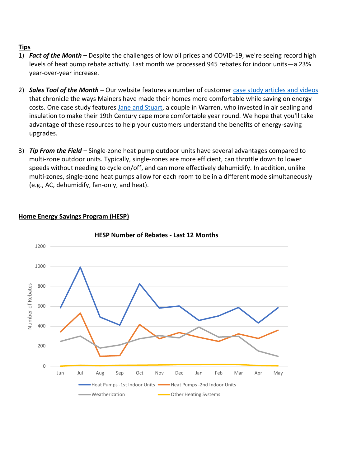## **Tips**

- 1) *Fact of the Month* **–** Despite the challenges of low oil prices and COVID-19, we're seeing record high levels of heat pump rebate activity. Last month we processed 945 rebates for indoor units—a 23% year-over-year increase.
- 2) *Sales Tool of the Month* **–** Our website features a number of customer [case study articles and videos](https://www.efficiencymaine.com/energyinformation/case-studies/) that chronicle the ways Mainers have made their homes more comfortable while saving on energy costs. One case study features [Jane and Stuart,](https://www.efficiencymaine.com/docs/HomeComfortCaseStudy.pdf) a couple in Warren, who invested in air sealing and insulation to make their 19th Century cape more comfortable year round. We hope that you'll take advantage of these resources to help your customers understand the benefits of energy-saving upgrades.
- 3) *Tip From the Field –* Single-zone heat pump outdoor units have several advantages compared to multi-zone outdoor units. Typically, single-zones are more efficient, can throttle down to lower speeds without needing to cycle on/off, and can more effectively dehumidify. In addition, unlike multi-zones, single-zone heat pumps allow for each room to be in a different mode simultaneously (e.g., AC, dehumidify, fan-only, and heat).



## **Home Energy Savings Program (HESP)**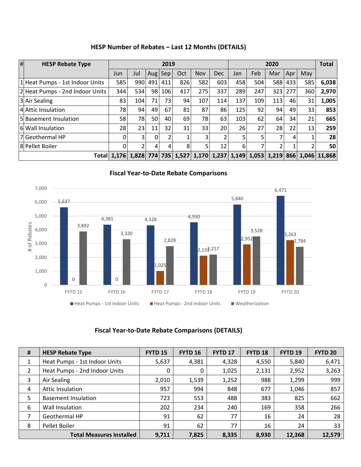| HESP Number of Rebates - Last 12 Months (DETAILS) |  |
|---------------------------------------------------|--|
|---------------------------------------------------|--|

| $\vert$ # | <b>HESP Rebate Type</b>         | 2019                                                              |                |     |         |     | 2020 |     |     |                 |     | <b>Total</b> |     |              |
|-----------|---------------------------------|-------------------------------------------------------------------|----------------|-----|---------|-----|------|-----|-----|-----------------|-----|--------------|-----|--------------|
|           |                                 | Jun                                                               | Jul            |     | Aug Sep | Oct | Nov  | Dec | Jan | Feb             | Mar | Apr          | May |              |
|           | 1 Heat Pumps - 1st Indoor Units | 585                                                               | 990            | 491 | 411     | 826 | 582  | 603 | 458 | 504             | 588 | 433          | 585 | 6,038        |
|           | 2 Heat Pumps - 2nd Indoor Units | 344                                                               | 534            | 98  | 106     | 417 | 275  | 337 | 289 | 247             | 323 | 277          | 360 | 2,970        |
|           | 3 Air Sealing                   | 83                                                                | 104            | 71  | 73      | 94  | 107  | 114 | 137 | 109             | 113 | 46           | 31  | 1,005        |
|           | 4 Attic Insulation              | 78                                                                | 94             | 49  | 67      | 81  | 87   | 86  | 125 | 92              | 94  | 49           | 33  | 853          |
|           | 5 Basement Insulation           | 58                                                                | 78             | 50  | 40      | 69  | 78   | 63  | 103 | 62              | 64  | 34           | 21  | 665          |
|           | 6 Wall Insulation               | 28                                                                | 23             | 11  | 32      | 31  | 33   | 20  | 26  | 27 <sup>1</sup> | 28  | 22           | 13  | 259          |
|           | 7 Geothermal HP                 | 0                                                                 | $\overline{3}$ | 0   | C.      |     | 3    | 2   |     |                 |     | 4            |     | 28           |
|           | 8 Pellet Boiler                 | 0                                                                 | 2              | 4   | 4       | 81  | 51   | 12  | 6   |                 | า   |              |     | 50           |
|           |                                 | Total 1,176 1,828 774 735 1,527 1,170 1,237 1,149 1,053 1,219 866 |                |     |         |     |      |     |     |                 |     |              |     | 1,046 11,868 |



# **Fiscal Year-to-Date Rebate Comparisons**

### **Fiscal Year-to-Date Rebate Comparisons (DETAILS)**

| $\pmb{\sharp}$ | <b>HESP Rebate Type</b>         | <b>FYTD 15</b> | <b>FYTD 16</b> | <b>FYTD 17</b> | <b>FYTD 18</b> | <b>FYTD 19</b> | <b>FYTD 20</b> |
|----------------|---------------------------------|----------------|----------------|----------------|----------------|----------------|----------------|
| 1              | Heat Pumps - 1st Indoor Units   | 5,637          | 4,381          | 4,328          | 4,550          | 5,840          | 6,471          |
| 2              | Heat Pumps - 2nd Indoor Units   | 0              | 0              | 1,025          | 2,131          | 2,952          | 3,263          |
| 3              | Air Sealing                     | 2,010          | 1,539          | 1,252          | 988            | 1,299          | 999            |
| 4              | <b>Attic Insulation</b>         | 957            | 994            | 848            | 677            | 1,046          | 857            |
| 5              | <b>Basement Insulation</b>      | 723            | 553            | 488            | 383            | 825            | 662            |
| 6              | Wall Insulation                 | 202            | 234            | 240            | 169            | 358            | 266            |
| 7              | Geothermal HP                   | 91             | 62             | 77             | 16             | 24             | 28             |
| 8              | Pellet Boiler                   | 91             | 62             | 77             | 16             | 24             | 33             |
|                | <b>Total Measures Installed</b> | 9,711          | 7,825          | 8,335          | 8,930          | 12,368         | 12,579         |